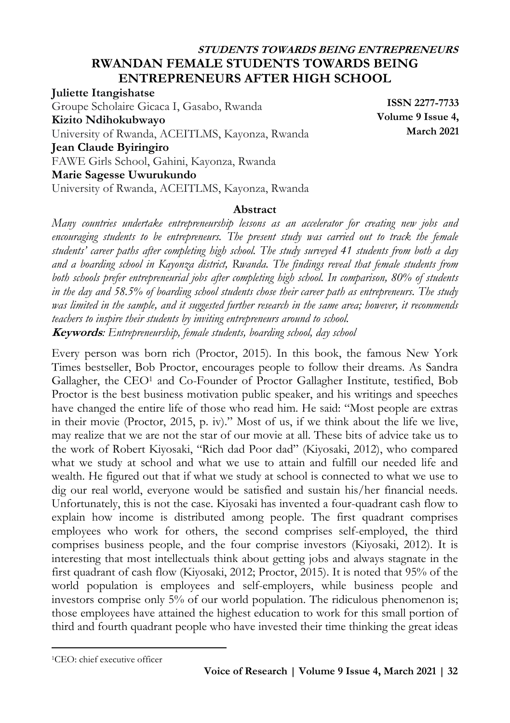# **STUDENTS TOWARDS BEING ENTREPRENEURS RWANDAN FEMALE STUDENTS TOWARDS BEING ENTREPRENEURS AFTER HIGH SCHOOL**

**Juliette Itangishatse** Groupe Scholaire Gicaca I, Gasabo, Rwanda **Kizito Ndihokubwayo** University of Rwanda, ACEITLMS, Kayonza, Rwanda **Jean Claude Byiringiro** FAWE Girls School, Gahini, Kayonza, Rwanda **Marie Sagesse Uwurukundo** University of Rwanda, ACEITLMS, Kayonza, Rwanda

**ISSN 2277-7733 Volume 9 Issue 4, March 2021**

#### **Abstract**

*Many countries undertake entrepreneurship lessons as an accelerator for creating new jobs and encouraging students to be entrepreneurs. The present study was carried out to track the female students' career paths after completing high school. The study surveyed 41 students from both a day and a boarding school in Kayonza district, Rwanda. The findings reveal that female students from both schools prefer entrepreneurial jobs after completing high school. In comparison, 80% of students in the day and 58.5% of boarding school students chose their career path as entrepreneurs. The study was limited in the sample, and it suggested further research in the same area; however, it recommends teachers to inspire their students by inviting entrepreneurs around to school.* **Keywords***: Entrepreneurship, female students, boarding school, day school*

Every person was born rich (Proctor, 2015). In this book, the famous New York Times bestseller, Bob Proctor, encourages people to follow their dreams. As Sandra Gallagher, the CEO<sup>1</sup> and Co-Founder of Proctor Gallagher Institute, testified, Bob Proctor is the best business motivation public speaker, and his writings and speeches have changed the entire life of those who read him. He said: "Most people are extras in their movie (Proctor, 2015, p. iv)." Most of us, if we think about the life we live, may realize that we are not the star of our movie at all. These bits of advice take us to the work of Robert Kiyosaki, "Rich dad Poor dad" (Kiyosaki, 2012), who compared what we study at school and what we use to attain and fulfill our needed life and wealth. He figured out that if what we study at school is connected to what we use to dig our real world, everyone would be satisfied and sustain his/her financial needs. Unfortunately, this is not the case. Kiyosaki has invented a four-quadrant cash flow to explain how income is distributed among people. The first quadrant comprises employees who work for others, the second comprises self-employed, the third comprises business people, and the four comprise investors (Kiyosaki, 2012). It is interesting that most intellectuals think about getting jobs and always stagnate in the first quadrant of cash flow (Kiyosaki, 2012; Proctor, 2015). It is noted that 95% of the world population is employees and self-employers, while business people and investors comprise only 5% of our world population. The ridiculous phenomenon is; those employees have attained the highest education to work for this small portion of third and fourth quadrant people who have invested their time thinking the great ideas

 $\overline{\phantom{a}}$ 

<sup>1</sup>CEO: chief executive officer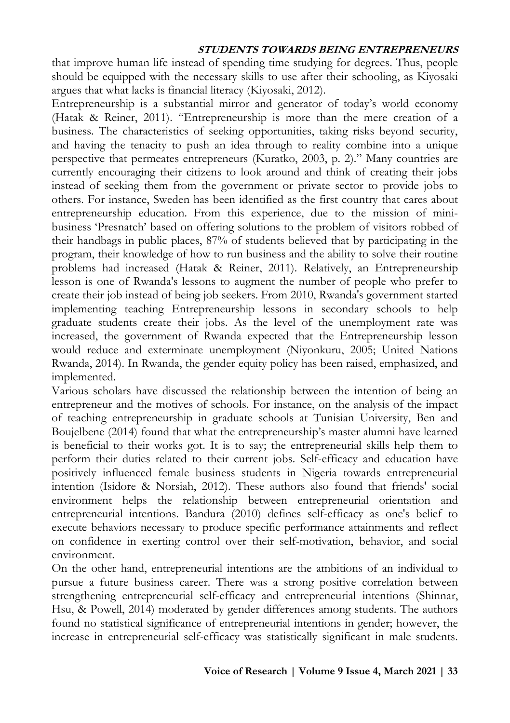that improve human life instead of spending time studying for degrees. Thus, people should be equipped with the necessary skills to use after their schooling, as Kiyosaki argues that what lacks is financial literacy (Kiyosaki, 2012).

Entrepreneurship is a substantial mirror and generator of today's world economy (Hatak & Reiner, 2011). "Entrepreneurship is more than the mere creation of a business. The characteristics of seeking opportunities, taking risks beyond security, and having the tenacity to push an idea through to reality combine into a unique perspective that permeates entrepreneurs (Kuratko, 2003, p. 2)." Many countries are currently encouraging their citizens to look around and think of creating their jobs instead of seeking them from the government or private sector to provide jobs to others. For instance, Sweden has been identified as the first country that cares about entrepreneurship education. From this experience, due to the mission of minibusiness 'Presnatch' based on offering solutions to the problem of visitors robbed of their handbags in public places, 87% of students believed that by participating in the program, their knowledge of how to run business and the ability to solve their routine problems had increased (Hatak & Reiner, 2011). Relatively, an Entrepreneurship lesson is one of Rwanda's lessons to augment the number of people who prefer to create their job instead of being job seekers. From 2010, Rwanda's government started implementing teaching Entrepreneurship lessons in secondary schools to help graduate students create their jobs. As the level of the unemployment rate was increased, the government of Rwanda expected that the Entrepreneurship lesson would reduce and exterminate unemployment (Niyonkuru, 2005; United Nations Rwanda, 2014). In Rwanda, the gender equity policy has been raised, emphasized, and implemented.

Various scholars have discussed the relationship between the intention of being an entrepreneur and the motives of schools. For instance, on the analysis of the impact of teaching entrepreneurship in graduate schools at Tunisian University, Ben and Boujelbene (2014) found that what the entrepreneurship's master alumni have learned is beneficial to their works got. It is to say; the entrepreneurial skills help them to perform their duties related to their current jobs. Self-efficacy and education have positively influenced female business students in Nigeria towards entrepreneurial intention (Isidore & Norsiah, 2012). These authors also found that friends' social environment helps the relationship between entrepreneurial orientation and entrepreneurial intentions. Bandura (2010) defines self-efficacy as one's belief to execute behaviors necessary to produce specific performance attainments and reflect on confidence in exerting control over their self-motivation, behavior, and social environment.

On the other hand, entrepreneurial intentions are the ambitions of an individual to pursue a future business career. There was a strong positive correlation between strengthening entrepreneurial self-efficacy and entrepreneurial intentions (Shinnar, Hsu, & Powell, 2014) moderated by gender differences among students. The authors found no statistical significance of entrepreneurial intentions in gender; however, the increase in entrepreneurial self-efficacy was statistically significant in male students.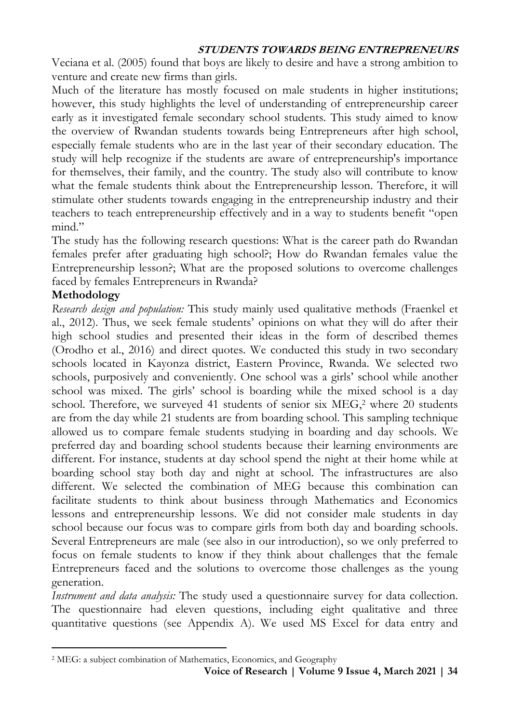Veciana et al. (2005) found that boys are likely to desire and have a strong ambition to venture and create new firms than girls.

Much of the literature has mostly focused on male students in higher institutions; however, this study highlights the level of understanding of entrepreneurship career early as it investigated female secondary school students. This study aimed to know the overview of Rwandan students towards being Entrepreneurs after high school, especially female students who are in the last year of their secondary education. The study will help recognize if the students are aware of entrepreneurship's importance for themselves, their family, and the country. The study also will contribute to know what the female students think about the Entrepreneurship lesson. Therefore, it will stimulate other students towards engaging in the entrepreneurship industry and their teachers to teach entrepreneurship effectively and in a way to students benefit "open mind"

The study has the following research questions: What is the career path do Rwandan females prefer after graduating high school?; How do Rwandan females value the Entrepreneurship lesson?; What are the proposed solutions to overcome challenges faced by females Entrepreneurs in Rwanda?

### **Methodology**

 $\overline{\phantom{a}}$ 

*Research design and population:* This study mainly used qualitative methods (Fraenkel et al., 2012). Thus, we seek female students' opinions on what they will do after their high school studies and presented their ideas in the form of described themes (Orodho et al., 2016) and direct quotes. We conducted this study in two secondary schools located in Kayonza district, Eastern Province, Rwanda. We selected two schools, purposively and conveniently. One school was a girls' school while another school was mixed. The girls' school is boarding while the mixed school is a day school. Therefore, we surveyed 41 students of senior six MEG, <sup>2</sup> where 20 students are from the day while 21 students are from boarding school. This sampling technique allowed us to compare female students studying in boarding and day schools. We preferred day and boarding school students because their learning environments are different. For instance, students at day school spend the night at their home while at boarding school stay both day and night at school. The infrastructures are also different. We selected the combination of MEG because this combination can facilitate students to think about business through Mathematics and Economics lessons and entrepreneurship lessons. We did not consider male students in day school because our focus was to compare girls from both day and boarding schools. Several Entrepreneurs are male (see also in our introduction), so we only preferred to focus on female students to know if they think about challenges that the female Entrepreneurs faced and the solutions to overcome those challenges as the young generation.

*Instrument and data analysis:* The study used a questionnaire survey for data collection. The questionnaire had eleven questions, including eight qualitative and three quantitative questions (see Appendix A). We used MS Excel for data entry and

**Voice of Research | Volume 9 Issue 4, March 2021 | 34**

<sup>2</sup> MEG: a subject combination of Mathematics, Economics, and Geography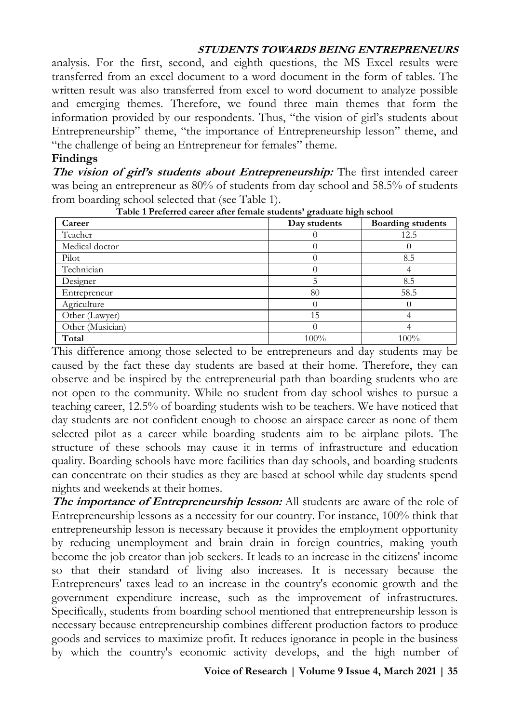analysis. For the first, second, and eighth questions, the MS Excel results were transferred from an excel document to a word document in the form of tables. The written result was also transferred from excel to word document to analyze possible and emerging themes. Therefore, we found three main themes that form the information provided by our respondents. Thus, "the vision of girl's students about Entrepreneurship" theme, "the importance of Entrepreneurship lesson" theme, and "the challenge of being an Entrepreneur for females" theme.

#### **Findings**

**The vision of girl's students about Entrepreneurship:** The first intended career was being an entrepreneur as 80% of students from day school and 58.5% of students from boarding school selected that (see Table 1).

| Career           | Day students |      |  |  |
|------------------|--------------|------|--|--|
| Teacher          |              | 12.5 |  |  |
| Medical doctor   |              |      |  |  |
| Pilot            |              | 8.5  |  |  |
| Technician       |              |      |  |  |
| Designer         |              | 8.5  |  |  |
| Entrepreneur     | 80           | 58.5 |  |  |
| Agriculture      |              | O    |  |  |
| Other (Lawyer)   | 15           |      |  |  |
| Other (Musician) |              |      |  |  |
| Total            | 100%         | 100% |  |  |

**Table 1 Preferred career after female students' graduate high school**

This difference among those selected to be entrepreneurs and day students may be caused by the fact these day students are based at their home. Therefore, they can observe and be inspired by the entrepreneurial path than boarding students who are not open to the community. While no student from day school wishes to pursue a teaching career, 12.5% of boarding students wish to be teachers. We have noticed that day students are not confident enough to choose an airspace career as none of them selected pilot as a career while boarding students aim to be airplane pilots. The structure of these schools may cause it in terms of infrastructure and education quality. Boarding schools have more facilities than day schools, and boarding students can concentrate on their studies as they are based at school while day students spend nights and weekends at their homes.

**The importance of Entrepreneurship lesson:** All students are aware of the role of Entrepreneurship lessons as a necessity for our country. For instance, 100% think that entrepreneurship lesson is necessary because it provides the employment opportunity by reducing unemployment and brain drain in foreign countries, making youth become the job creator than job seekers. It leads to an increase in the citizens' income so that their standard of living also increases. It is necessary because the Entrepreneurs' taxes lead to an increase in the country's economic growth and the government expenditure increase, such as the improvement of infrastructures. Specifically, students from boarding school mentioned that entrepreneurship lesson is necessary because entrepreneurship combines different production factors to produce goods and services to maximize profit. It reduces ignorance in people in the business by which the country's economic activity develops, and the high number of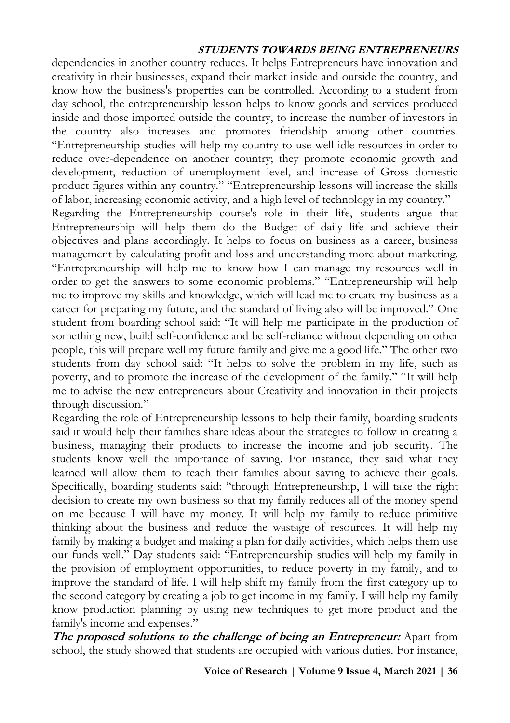dependencies in another country reduces. It helps Entrepreneurs have innovation and creativity in their businesses, expand their market inside and outside the country, and know how the business's properties can be controlled. According to a student from day school, the entrepreneurship lesson helps to know goods and services produced inside and those imported outside the country, to increase the number of investors in the country also increases and promotes friendship among other countries. "Entrepreneurship studies will help my country to use well idle resources in order to reduce over-dependence on another country; they promote economic growth and development, reduction of unemployment level, and increase of Gross domestic product figures within any country." "Entrepreneurship lessons will increase the skills of labor, increasing economic activity, and a high level of technology in my country."

Regarding the Entrepreneurship course's role in their life, students argue that Entrepreneurship will help them do the Budget of daily life and achieve their objectives and plans accordingly. It helps to focus on business as a career, business management by calculating profit and loss and understanding more about marketing. "Entrepreneurship will help me to know how I can manage my resources well in order to get the answers to some economic problems." "Entrepreneurship will help me to improve my skills and knowledge, which will lead me to create my business as a career for preparing my future, and the standard of living also will be improved." One student from boarding school said: "It will help me participate in the production of something new, build self-confidence and be self-reliance without depending on other people, this will prepare well my future family and give me a good life." The other two students from day school said: "It helps to solve the problem in my life, such as poverty, and to promote the increase of the development of the family." "It will help me to advise the new entrepreneurs about Creativity and innovation in their projects through discussion."

Regarding the role of Entrepreneurship lessons to help their family, boarding students said it would help their families share ideas about the strategies to follow in creating a business, managing their products to increase the income and job security. The students know well the importance of saving. For instance, they said what they learned will allow them to teach their families about saving to achieve their goals. Specifically, boarding students said: "through Entrepreneurship, I will take the right decision to create my own business so that my family reduces all of the money spend on me because I will have my money. It will help my family to reduce primitive thinking about the business and reduce the wastage of resources. It will help my family by making a budget and making a plan for daily activities, which helps them use our funds well." Day students said: "Entrepreneurship studies will help my family in the provision of employment opportunities, to reduce poverty in my family, and to improve the standard of life. I will help shift my family from the first category up to the second category by creating a job to get income in my family. I will help my family know production planning by using new techniques to get more product and the family's income and expenses."

**The proposed solutions to the challenge of being an Entrepreneur:** Apart from school, the study showed that students are occupied with various duties. For instance,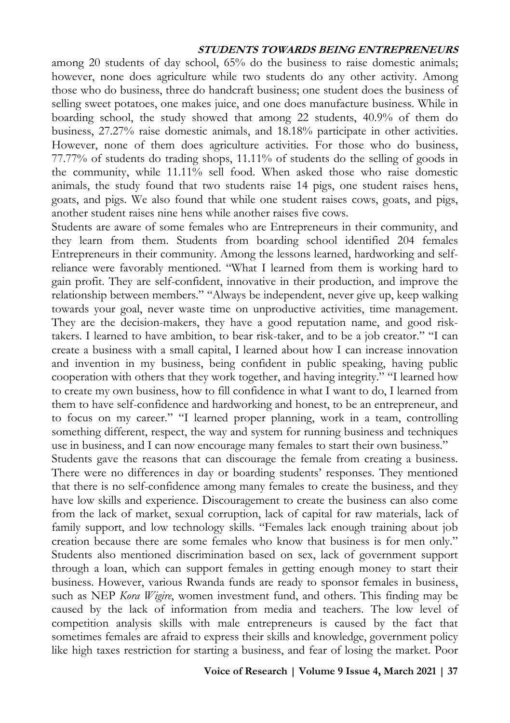among 20 students of day school, 65% do the business to raise domestic animals; however, none does agriculture while two students do any other activity. Among those who do business, three do handcraft business; one student does the business of selling sweet potatoes, one makes juice, and one does manufacture business. While in boarding school, the study showed that among 22 students, 40.9% of them do business, 27.27% raise domestic animals, and 18.18% participate in other activities. However, none of them does agriculture activities. For those who do business, 77.77% of students do trading shops, 11.11% of students do the selling of goods in the community, while 11.11% sell food. When asked those who raise domestic animals, the study found that two students raise 14 pigs, one student raises hens, goats, and pigs. We also found that while one student raises cows, goats, and pigs, another student raises nine hens while another raises five cows.

Students are aware of some females who are Entrepreneurs in their community, and they learn from them. Students from boarding school identified 204 females Entrepreneurs in their community. Among the lessons learned, hardworking and selfreliance were favorably mentioned. "What I learned from them is working hard to gain profit. They are self-confident, innovative in their production, and improve the relationship between members." "Always be independent, never give up, keep walking towards your goal, never waste time on unproductive activities, time management. They are the decision-makers, they have a good reputation name, and good risktakers. I learned to have ambition, to bear risk-taker, and to be a job creator." "I can create a business with a small capital, I learned about how I can increase innovation and invention in my business, being confident in public speaking, having public cooperation with others that they work together, and having integrity." "I learned how to create my own business, how to fill confidence in what I want to do, I learned from them to have self-confidence and hardworking and honest, to be an entrepreneur, and to focus on my career." "I learned proper planning, work in a team, controlling something different, respect, the way and system for running business and techniques use in business, and I can now encourage many females to start their own business."

Students gave the reasons that can discourage the female from creating a business. There were no differences in day or boarding students' responses. They mentioned that there is no self-confidence among many females to create the business, and they have low skills and experience. Discouragement to create the business can also come from the lack of market, sexual corruption, lack of capital for raw materials, lack of family support, and low technology skills. "Females lack enough training about job creation because there are some females who know that business is for men only." Students also mentioned discrimination based on sex, lack of government support through a loan, which can support females in getting enough money to start their business. However, various Rwanda funds are ready to sponsor females in business, such as NEP *Kora Wigire*, women investment fund, and others. This finding may be caused by the lack of information from media and teachers. The low level of competition analysis skills with male entrepreneurs is caused by the fact that sometimes females are afraid to express their skills and knowledge, government policy like high taxes restriction for starting a business, and fear of losing the market. Poor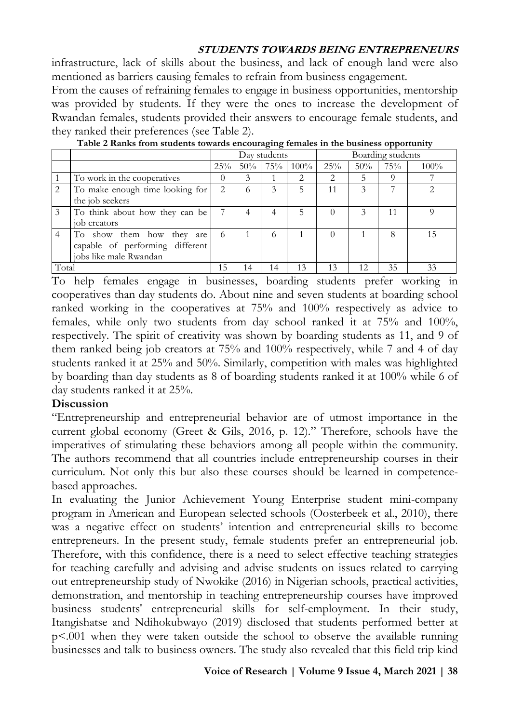infrastructure, lack of skills about the business, and lack of enough land were also mentioned as barriers causing females to refrain from business engagement.

From the causes of refraining females to engage in business opportunities, mentorship was provided by students. If they were the ones to increase the development of Rwandan females, students provided their answers to encourage female students, and they ranked their preferences (see Table 2).

|       |                                 | - -<br>Day students |     |               | Boarding students |     |     |     |      |
|-------|---------------------------------|---------------------|-----|---------------|-------------------|-----|-----|-----|------|
|       |                                 | 25%                 | 50% | 75%           | $100\%$           | 25% | 50% | 75% | 100% |
|       | To work in the cooperatives     | 0                   | 3   |               | 2                 | 2   | 5   |     |      |
|       | To make enough time looking for | 2                   | 6   |               |                   | 11  |     |     |      |
|       | the job seekers                 |                     |     |               |                   |     |     |     |      |
|       | To think about how they can be  |                     | 4   |               |                   |     | 3   | 11  | O    |
|       | job creators                    |                     |     |               |                   |     |     |     |      |
|       | To show them how they<br>are    | 6                   |     | $\mathcal{L}$ |                   |     |     | 8   | 15   |
|       | capable of performing different |                     |     |               |                   |     |     |     |      |
|       | jobs like male Rwandan          |                     |     |               |                   |     |     |     |      |
| Total |                                 | 15                  | 14  | 14            | 13                | 13  | 12  | 35  | 33   |

**Table 2 Ranks from students towards encouraging females in the business opportunity**

To help females engage in businesses, boarding students prefer working in cooperatives than day students do. About nine and seven students at boarding school ranked working in the cooperatives at 75% and 100% respectively as advice to females, while only two students from day school ranked it at 75% and 100%, respectively. The spirit of creativity was shown by boarding students as 11, and 9 of them ranked being job creators at 75% and 100% respectively, while 7 and 4 of day students ranked it at 25% and 50%. Similarly, competition with males was highlighted by boarding than day students as 8 of boarding students ranked it at 100% while 6 of day students ranked it at 25%.

## **Discussion**

"Entrepreneurship and entrepreneurial behavior are of utmost importance in the current global economy (Greet & Gils, 2016, p. 12)." Therefore, schools have the imperatives of stimulating these behaviors among all people within the community. The authors recommend that all countries include entrepreneurship courses in their curriculum. Not only this but also these courses should be learned in competencebased approaches.

In evaluating the Junior Achievement Young Enterprise student mini-company program in American and European selected schools (Oosterbeek et al., 2010), there was a negative effect on students' intention and entrepreneurial skills to become entrepreneurs. In the present study, female students prefer an entrepreneurial job. Therefore, with this confidence, there is a need to select effective teaching strategies for teaching carefully and advising and advise students on issues related to carrying out entrepreneurship study of Nwokike (2016) in Nigerian schools, practical activities, demonstration, and mentorship in teaching entrepreneurship courses have improved business students' entrepreneurial skills for self-employment. In their study, Itangishatse and Ndihokubwayo (2019) disclosed that students performed better at p<.001 when they were taken outside the school to observe the available running businesses and talk to business owners. The study also revealed that this field trip kind

#### **Voice of Research | Volume 9 Issue 4, March 2021 | 38**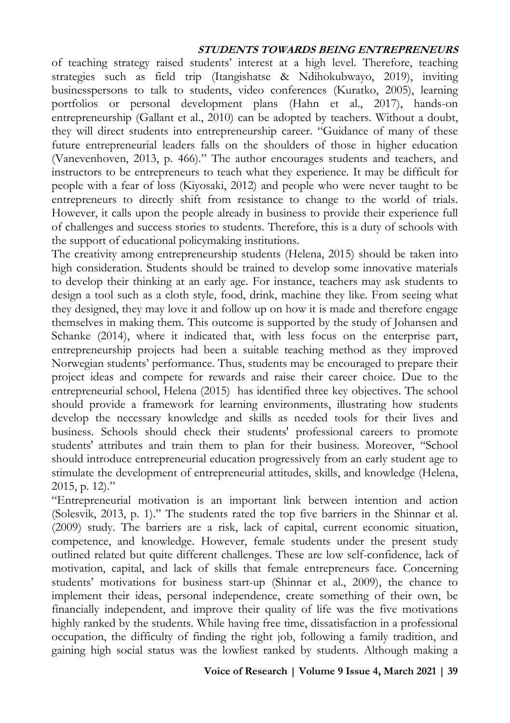of teaching strategy raised students' interest at a high level. Therefore, teaching strategies such as field trip (Itangishatse & Ndihokubwayo, 2019), inviting businesspersons to talk to students, video conferences (Kuratko, 2005), learning portfolios or personal development plans (Hahn et al., 2017), hands-on entrepreneurship (Gallant et al., 2010) can be adopted by teachers. Without a doubt, they will direct students into entrepreneurship career. "Guidance of many of these future entrepreneurial leaders falls on the shoulders of those in higher education (Vanevenhoven, 2013, p. 466)." The author encourages students and teachers, and instructors to be entrepreneurs to teach what they experience. It may be difficult for people with a fear of loss (Kiyosaki, 2012) and people who were never taught to be entrepreneurs to directly shift from resistance to change to the world of trials. However, it calls upon the people already in business to provide their experience full of challenges and success stories to students. Therefore, this is a duty of schools with the support of educational policymaking institutions.

The creativity among entrepreneurship students (Helena, 2015) should be taken into high consideration. Students should be trained to develop some innovative materials to develop their thinking at an early age. For instance, teachers may ask students to design a tool such as a cloth style, food, drink, machine they like. From seeing what they designed, they may love it and follow up on how it is made and therefore engage themselves in making them. This outcome is supported by the study of Johansen and Schanke (2014), where it indicated that, with less focus on the enterprise part, entrepreneurship projects had been a suitable teaching method as they improved Norwegian students' performance. Thus, students may be encouraged to prepare their project ideas and compete for rewards and raise their career choice. Due to the entrepreneurial school, Helena (2015) has identified three key objectives. The school should provide a framework for learning environments, illustrating how students develop the necessary knowledge and skills as needed tools for their lives and business. Schools should check their students' professional careers to promote students' attributes and train them to plan for their business. Moreover, "School should introduce entrepreneurial education progressively from an early student age to stimulate the development of entrepreneurial attitudes, skills, and knowledge (Helena, 2015, p. 12)."

"Entrepreneurial motivation is an important link between intention and action (Solesvik, 2013, p. 1)." The students rated the top five barriers in the Shinnar et al. (2009) study. The barriers are a risk, lack of capital, current economic situation, competence, and knowledge. However, female students under the present study outlined related but quite different challenges. These are low self-confidence, lack of motivation, capital, and lack of skills that female entrepreneurs face. Concerning students' motivations for business start-up (Shinnar et al., 2009), the chance to implement their ideas, personal independence, create something of their own, be financially independent, and improve their quality of life was the five motivations highly ranked by the students. While having free time, dissatisfaction in a professional occupation, the difficulty of finding the right job, following a family tradition, and gaining high social status was the lowliest ranked by students. Although making a

#### **Voice of Research | Volume 9 Issue 4, March 2021 | 39**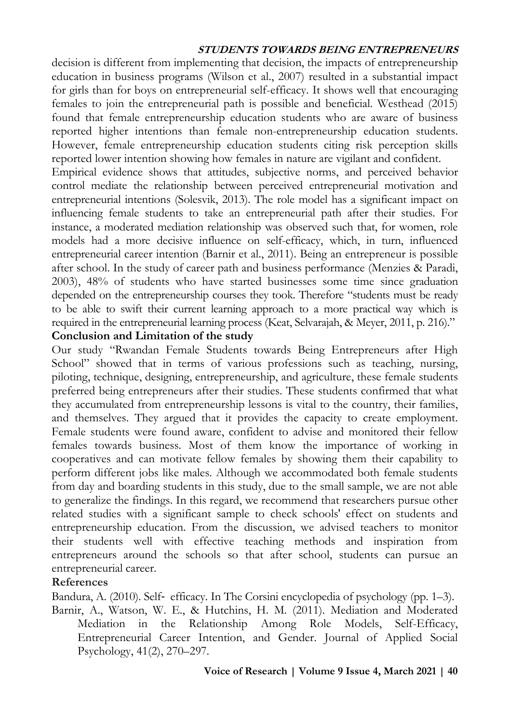decision is different from implementing that decision, the impacts of entrepreneurship education in business programs (Wilson et al., 2007) resulted in a substantial impact for girls than for boys on entrepreneurial self-efficacy. It shows well that encouraging females to join the entrepreneurial path is possible and beneficial. Westhead (2015) found that female entrepreneurship education students who are aware of business reported higher intentions than female non-entrepreneurship education students. However, female entrepreneurship education students citing risk perception skills reported lower intention showing how females in nature are vigilant and confident.

Empirical evidence shows that attitudes, subjective norms, and perceived behavior control mediate the relationship between perceived entrepreneurial motivation and entrepreneurial intentions (Solesvik, 2013). The role model has a significant impact on influencing female students to take an entrepreneurial path after their studies. For instance, a moderated mediation relationship was observed such that, for women, role models had a more decisive influence on self-efficacy, which, in turn, influenced entrepreneurial career intention (Barnir et al., 2011). Being an entrepreneur is possible after school. In the study of career path and business performance (Menzies & Paradi, 2003), 48% of students who have started businesses some time since graduation depended on the entrepreneurship courses they took. Therefore "students must be ready to be able to swift their current learning approach to a more practical way which is required in the entrepreneurial learning process (Keat, Selvarajah, & Meyer, 2011, p. 216)."

## **Conclusion and Limitation of the study**

Our study "Rwandan Female Students towards Being Entrepreneurs after High School" showed that in terms of various professions such as teaching, nursing, piloting, technique, designing, entrepreneurship, and agriculture, these female students preferred being entrepreneurs after their studies. These students confirmed that what they accumulated from entrepreneurship lessons is vital to the country, their families, and themselves. They argued that it provides the capacity to create employment. Female students were found aware, confident to advise and monitored their fellow females towards business. Most of them know the importance of working in cooperatives and can motivate fellow females by showing them their capability to perform different jobs like males. Although we accommodated both female students from day and boarding students in this study, due to the small sample, we are not able to generalize the findings. In this regard, we recommend that researchers pursue other related studies with a significant sample to check schools' effect on students and entrepreneurship education. From the discussion, we advised teachers to monitor their students well with effective teaching methods and inspiration from entrepreneurs around the schools so that after school, students can pursue an entrepreneurial career.

## **References**

Bandura, A. (2010). Self‐ efficacy. In The Corsini encyclopedia of psychology (pp. 1–3).

Barnir, A., Watson, W. E., & Hutchins, H. M. (2011). Mediation and Moderated Mediation in the Relationship Among Role Models, Self-Efficacy, Entrepreneurial Career Intention, and Gender. Journal of Applied Social Psychology, 41(2), 270–297.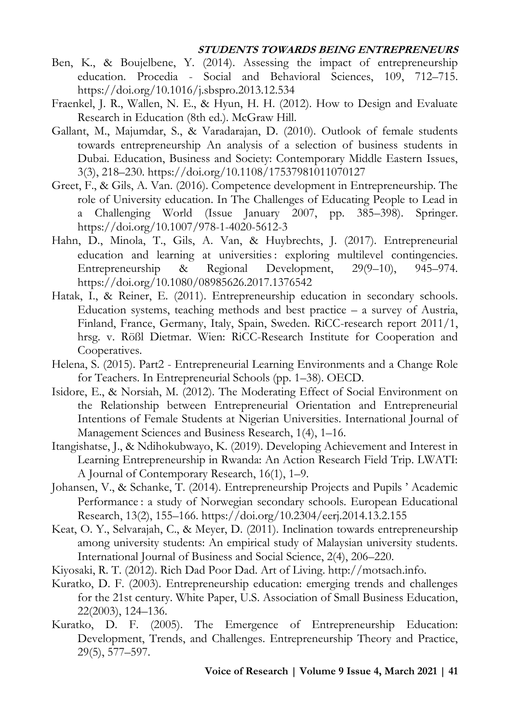- Ben, K., & Boujelbene, Y. (2014). Assessing the impact of entrepreneurship education. Procedia - Social and Behavioral Sciences, 109, 712–715. https://doi.org/10.1016/j.sbspro.2013.12.534
- Fraenkel, J. R., Wallen, N. E., & Hyun, H. H. (2012). How to Design and Evaluate Research in Education (8th ed.). McGraw Hill.
- Gallant, M., Majumdar, S., & Varadarajan, D. (2010). Outlook of female students towards entrepreneurship An analysis of a selection of business students in Dubai. Education, Business and Society: Contemporary Middle Eastern Issues, 3(3), 218–230. https://doi.org/10.1108/17537981011070127
- Greet, F., & Gils, A. Van. (2016). Competence development in Entrepreneurship. The role of University education. In The Challenges of Educating People to Lead in a Challenging World (Issue January 2007, pp. 385–398). Springer. https://doi.org/10.1007/978-1-4020-5612-3
- Hahn, D., Minola, T., Gils, A. Van, & Huybrechts, J. (2017). Entrepreneurial education and learning at universities: exploring multilevel contingencies. Entrepreneurship & Regional Development, 29(9–10), 945–974. https://doi.org/10.1080/08985626.2017.1376542
- Hatak, I., & Reiner, E. (2011). Entrepreneurship education in secondary schools. Education systems, teaching methods and best practice  $-$  a survey of Austria, Finland, France, Germany, Italy, Spain, Sweden. RiCC-research report 2011/1, hrsg. v. Rößl Dietmar. Wien: RiCC-Research Institute for Cooperation and Cooperatives.
- Helena, S. (2015). Part2 Entrepreneurial Learning Environments and a Change Role for Teachers. In Entrepreneurial Schools (pp. 1–38). OECD.
- Isidore, E., & Norsiah, M. (2012). The Moderating Effect of Social Environment on the Relationship between Entrepreneurial Orientation and Entrepreneurial Intentions of Female Students at Nigerian Universities. International Journal of Management Sciences and Business Research, 1(4), 1–16.
- Itangishatse, J., & Ndihokubwayo, K. (2019). Developing Achievement and Interest in Learning Entrepreneurship in Rwanda: An Action Research Field Trip. LWATI: A Journal of Contemporary Research, 16(1), 1–9.
- Johansen, V., & Schanke, T. (2014). Entrepreneurship Projects and Pupils ' Academic Performance : a study of Norwegian secondary schools. European Educational Research, 13(2), 155–166. https://doi.org/10.2304/eerj.2014.13.2.155
- Keat, O. Y., Selvarajah, C., & Meyer, D. (2011). Inclination towards entrepreneurship among university students: An empirical study of Malaysian university students. International Journal of Business and Social Science, 2(4), 206–220.
- Kiyosaki, R. T. (2012). Rich Dad Poor Dad. Art of Living. http://motsach.info.
- Kuratko, D. F. (2003). Entrepreneurship education: emerging trends and challenges for the 21st century. White Paper, U.S. Association of Small Business Education, 22(2003), 124–136.
- Kuratko, D. F. (2005). The Emergence of Entrepreneurship Education: Development, Trends, and Challenges. Entrepreneurship Theory and Practice, 29(5), 577–597.